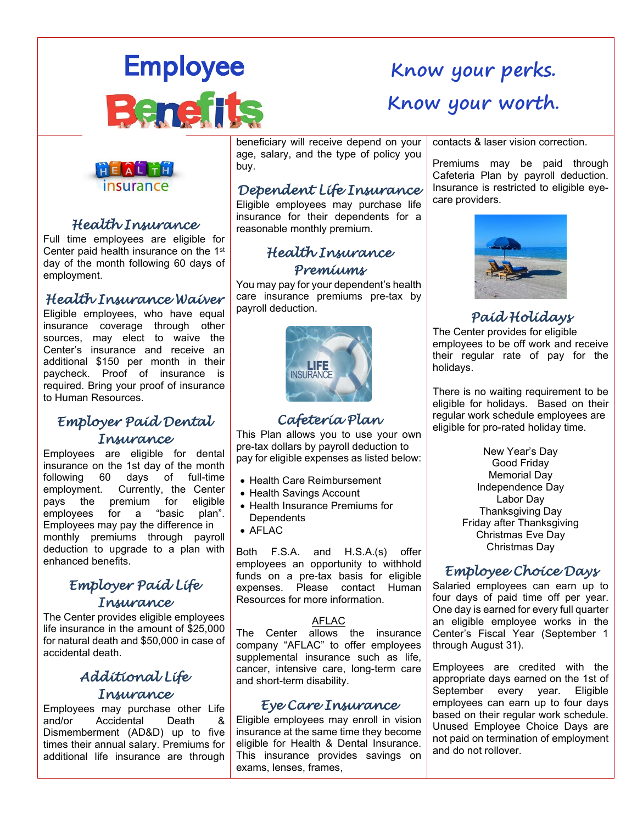

# **Know your perks. Know your worth.**



### *Health Insurance*

Full time employees are eligible for Center paid health insurance on the 1st day of the month following 60 days of employment.

### *Health Insurance Waiver*

Eligible employees, who have equal insurance coverage through other sources, may elect to waive the Center's insurance and receive an additional \$150 per month in their paycheck. Proof of insurance is required. Bring your proof of insurance to Human Resources.

### *Employer Paid Dental Insurance*

Employees are eligible for dental insurance on the 1st day of the month following 60 days of full-time employment. Currently, the Center pays the premium for eligible<br>employees for a "basic plan". a "basic plan". Employees may pay the difference in monthly premiums through payroll deduction to upgrade to a plan with enhanced benefits.

### *Employer Paid Life Insurance*

The Center provides eligible employees life insurance in the amount of \$25,000 for natural death and \$50,000 in case of accidental death.

### *Additional Life Insurance*

Employees may purchase other Life Accidental Death & Dismemberment (AD&D) up to five times their annual salary. Premiums for additional life insurance are through

**beneficiary will receive depend on your** age, salary, and the type of policy you buy.

### *Dependent Life Insurance*

Eligible employees may purchase life insurance for their dependents for a reasonable monthly premium.

### *Health Insurance Premiums*

You may pay for your dependent's health care insurance premiums pre-tax by payroll deduction.



### *Cafeteria Plan*

This Plan allows you to use your own pre-tax dollars by payroll deduction to pay for eligible expenses as listed below:

- Health Care Reimbursement
- Health Savings Account
- Health Insurance Premiums for **Dependents**
- AFLAC

Both F.S.A. and H.S.A.(s) offer employees an opportunity to withhold funds on a pre-tax basis for eligible expenses. Please contact Human Resources for more information.

#### AFLAC

The Center allows the insurance company "AFLAC" to offer employees supplemental insurance such as life, cancer, intensive care, long-term care and short-term disability.

### *Eye Care Insurance*

Eligible employees may enroll in vision insurance at the same time they become eligible for Health & Dental Insurance. This insurance provides savings on exams, lenses, frames,

contacts & laser vision correction.

Premiums may be paid through Cafeteria Plan by payroll deduction. Insurance is restricted to eligible eyecare providers.



### *Paid Holidays*

The Center provides for eligible employees to be off work and receive their regular rate of pay for the holidays.

There is no waiting requirement to be eligible for holidays. Based on their regular work schedule employees are eligible for pro-rated holiday time.

> New Year's Day Good Friday Memorial Day Independence Day Labor Day Thanksgiving Day Friday after Thanksgiving Christmas Eve Day Christmas Day

## *Employee Choice Days*

Salaried employees can earn up to four days of paid time off per year. One day is earned for every full quarter an eligible employee works in the Center's Fiscal Year (September 1 through August 31).

Employees are credited with the appropriate days earned on the 1st of September every year. Eligible employees can earn up to four days based on their regular work schedule. Unused Employee Choice Days are not paid on termination of employment and do not rollover.